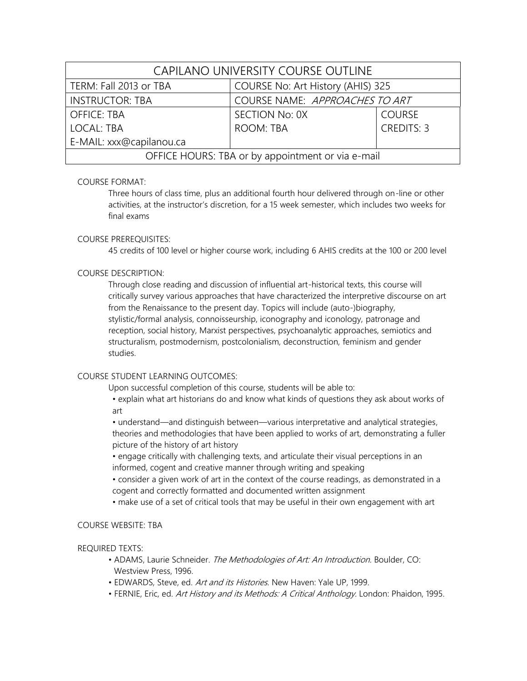| CAPILANO UNIVERSITY COURSE OUTLINE                |                                   |                   |  |  |
|---------------------------------------------------|-----------------------------------|-------------------|--|--|
| TERM: Fall 2013 or TBA                            | COURSE No: Art History (AHIS) 325 |                   |  |  |
| <b>INSTRUCTOR: TBA</b>                            | COURSE NAME: APPROACHES TO ART    |                   |  |  |
| <b>OFFICE: TBA</b>                                | SECTION No: 0X                    | <b>COURSE</b>     |  |  |
| LOCAL: TBA                                        | <b>ROOM: TBA</b>                  | <b>CREDITS: 3</b> |  |  |
| E-MAIL: xxx@capilanou.ca                          |                                   |                   |  |  |
| OFFICE HOURS: TBA or by appointment or via e-mail |                                   |                   |  |  |

# COURSE FORMAT:

Three hours of class time, plus an additional fourth hour delivered through on-line or other activities, at the instructor's discretion, for a 15 week semester, which includes two weeks for final exams

# COURSE PREREQUISITES:

45 credits of 100 level or higher course work, including 6 AHIS credits at the 100 or 200 level

# COURSE DESCRIPTION:

Through close reading and discussion of influential art-historical texts, this course will critically survey various approaches that have characterized the interpretive discourse on art from the Renaissance to the present day. Topics will include (auto-)biography, stylistic/formal analysis, connoisseurship, iconography and iconology, patronage and reception, social history, Marxist perspectives, psychoanalytic approaches, semiotics and structuralism, postmodernism, postcolonialism, deconstruction, feminism and gender studies.

# COURSE STUDENT LEARNING OUTCOMES:

Upon successful completion of this course, students will be able to:

• explain what art historians do and know what kinds of questions they ask about works of art

• understand—and distinguish between—various interpretative and analytical strategies, theories and methodologies that have been applied to works of art, demonstrating a fuller picture of the history of art history

• engage critically with challenging texts, and articulate their visual perceptions in an informed, cogent and creative manner through writing and speaking

• consider a given work of art in the context of the course readings, as demonstrated in a cogent and correctly formatted and documented written assignment

• make use of a set of critical tools that may be useful in their own engagement with art

# COURSE WEBSITE: TBA

# REQUIRED TEXTS:

- ADAMS, Laurie Schneider. The Methodologies of Art: An Introduction. Boulder, CO: Westview Press, 1996.
- EDWARDS, Steve, ed. Art and its Histories. New Haven: Yale UP, 1999.
- FERNIE, Eric, ed. Art History and its Methods: A Critical Anthology. London: Phaidon, 1995.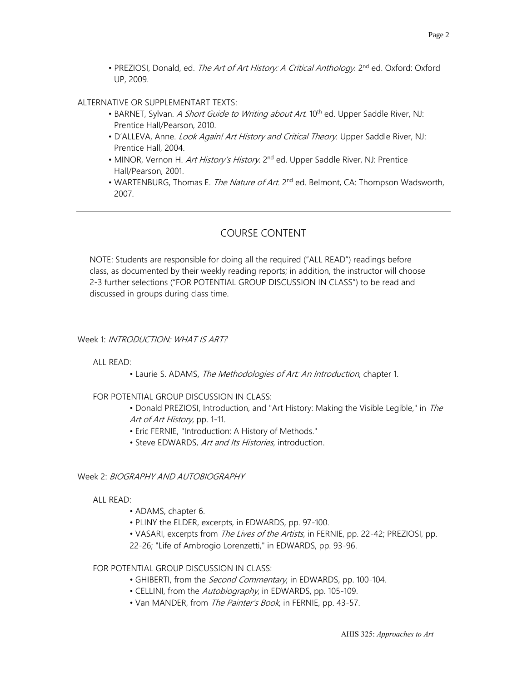• PREZIOSI, Donald, ed. The Art of Art History: A Critical Anthology. 2<sup>nd</sup> ed. Oxford: Oxford UP, 2009.

### ALTERNATIVE OR SUPPLEMENTART TEXTS:

- BARNET, Sylvan. A Short Guide to Writing about Art. 10<sup>th</sup> ed. Upper Saddle River, NJ: Prentice Hall/Pearson, 2010.
- D'ALLEVA, Anne. Look Again! Art History and Critical Theory. Upper Saddle River, NJ: Prentice Hall, 2004.
- MINOR, Vernon H. Art History's History. 2<sup>nd</sup> ed. Upper Saddle River, NJ: Prentice Hall/Pearson, 2001.
- WARTENBURG, Thomas E. *The Nature of Art.* 2<sup>nd</sup> ed. Belmont, CA: Thompson Wadsworth, 2007.

# COURSE CONTENT

NOTE: Students are responsible for doing all the required ("ALL READ") readings before class, as documented by their weekly reading reports; in addition, the instructor will choose 2-3 further selections ("FOR POTENTIAL GROUP DISCUSSION IN CLASS") to be read and discussed in groups during class time.

### Week 1: INTRODUCTION: WHAT IS ART?

#### ALL READ:

• Laurie S. ADAMS, The Methodologies of Art: An Introduction, chapter 1.

# FOR POTENTIAL GROUP DISCUSSION IN CLASS:

• Donald PREZIOSI, Introduction, and "Art History: Making the Visible Legible," in The Art of Art History, pp. 1-11.

- Eric FERNIE, "Introduction: A History of Methods."
- Steve EDWARDS, Art and Its Histories, introduction.

#### Week 2: BIOGRAPHY AND AUTOBIOGRAPHY

# ALL READ:

- ADAMS, chapter 6.
- PLINY the ELDER, excerpts, in EDWARDS, pp. 97-100.
- VASARI, excerpts from The Lives of the Artists, in FERNIE, pp. 22-42; PREZIOSI, pp.
- 22-26; "Life of Ambrogio Lorenzetti," in EDWARDS, pp. 93-96.

### FOR POTENTIAL GROUP DISCUSSION IN CLASS:

- GHIBERTI, from the *Second Commentary*, in EDWARDS, pp. 100-104.
- CELLINI, from the *Autobiography*, in EDWARDS, pp. 105-109.
- Van MANDER, from The Painter's Book, in FERNIE, pp. 43-57.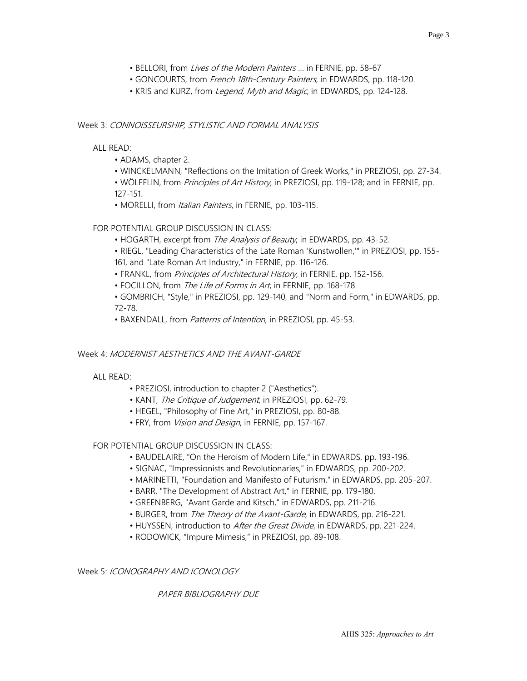- BELLORI, from Lives of the Modern Painters ... in FERNIE, pp. 58-67
- GONCOURTS, from French 18th-Century Painters, in EDWARDS, pp. 118-120.
- KRIS and KURZ, from Legend, Myth and Magic, in EDWARDS, pp. 124-128.

#### Week 3: CONNOISSEURSHIP, STYLISTIC AND FORMAL ANALYSIS

ALL READ:

- ADAMS, chapter 2.
- WINCKELMANN, "Reflections on the Imitation of Greek Works," in PREZIOSI, pp. 27-34.
- WÖLFFLIN, from *Principles of Art History*, in PREZIOSI, pp. 119-128; and in FERNIE, pp. 127-151.
- MORELLI, from Italian Painters, in FERNIE, pp. 103-115.

# FOR POTENTIAL GROUP DISCUSSION IN CLASS:

- HOGARTH, excerpt from The Analysis of Beauty, in EDWARDS, pp. 43-52.
- RIEGL, "Leading Characteristics of the Late Roman 'Kunstwollen,'" in PREZIOSI, pp. 155- 161, and "Late Roman Art Industry," in FERNIE, pp. 116-126.
- FRANKL, from *Principles of Architectural History*, in FERNIE, pp. 152-156.
- FOCILLON, from The Life of Forms in Art, in FERNIE, pp. 168-178.

• GOMBRICH, "Style," in PREZIOSI, pp. 129-140, and "Norm and Form," in EDWARDS, pp. 72-78.

• BAXENDALL, from *Patterns of Intention*, in PREZIOSI, pp. 45-53.

# Week 4: MODERNIST AESTHETICS AND THE AVANT-GARDE

ALL READ:

- PREZIOSI, introduction to chapter 2 ("Aesthetics").
- KANT, The Critique of Judgement, in PREZIOSI, pp. 62-79.
- HEGEL, "Philosophy of Fine Art," in PREZIOSI, pp. 80-88.
- FRY, from *Vision and Design*, in FERNIE, pp. 157-167.

# FOR POTENTIAL GROUP DISCUSSION IN CLASS:

- BAUDELAIRE, "On the Heroism of Modern Life," in EDWARDS, pp. 193-196.
- SIGNAC, "Impressionists and Revolutionaries," in EDWARDS, pp. 200-202.
- MARINETTI, "Foundation and Manifesto of Futurism," in EDWARDS, pp. 205-207.
- BARR, "The Development of Abstract Art," in FERNIE, pp. 179-180.
- GREENBERG, "Avant Garde and Kitsch," in EDWARDS, pp. 211-216.
- BURGER, from *The Theory of the Avant-Garde*, in EDWARDS, pp. 216-221.
- HUYSSEN, introduction to After the Great Divide, in EDWARDS, pp. 221-224.
- RODOWICK, "Impure Mimesis," in PREZIOSI, pp. 89-108.

#### Week 5: ICONOGRAPHY AND ICONOLOGY

# PAPER BIBLIOGRAPHY DUE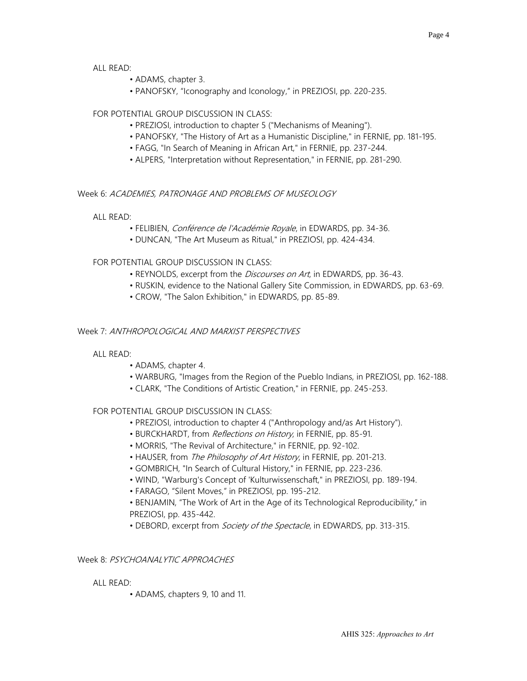### ALL READ:

- ADAMS, chapter 3.
- PANOFSKY, "Iconography and Iconology," in PREZIOSI, pp. 220-235.

# FOR POTENTIAL GROUP DISCUSSION IN CLASS:

- PREZIOSI, introduction to chapter 5 ("Mechanisms of Meaning").
- PANOFSKY, "The History of Art as a Humanistic Discipline," in FERNIE, pp. 181-195.
- FAGG, "In Search of Meaning in African Art," in FERNIE, pp. 237-244.
- ALPERS, "Interpretation without Representation," in FERNIE, pp. 281-290.

### Week 6: ACADEMIES, PATRONAGE AND PROBLEMS OF MUSEOLOGY

#### ALL READ:

- FELIBIEN, Conférence de l'Académie Royale, in EDWARDS, pp. 34-36.
- DUNCAN, "The Art Museum as Ritual," in PREZIOSI, pp. 424-434.

# FOR POTENTIAL GROUP DISCUSSION IN CLASS:

- REYNOLDS, excerpt from the *Discourses on Art*, in EDWARDS, pp. 36-43.
- RUSKIN, evidence to the National Gallery Site Commission, in EDWARDS, pp. 63-69.
- CROW, "The Salon Exhibition," in EDWARDS, pp. 85-89.

### Week 7: ANTHROPOLOGICAL AND MARXIST PERSPECTIVES

#### ALL READ:

- ADAMS, chapter 4.
- WARBURG, "Images from the Region of the Pueblo Indians, in PREZIOSI, pp. 162-188.
- CLARK, "The Conditions of Artistic Creation," in FERNIE, pp. 245-253.

#### FOR POTENTIAL GROUP DISCUSSION IN CLASS:

- PREZIOSI, introduction to chapter 4 ("Anthropology and/as Art History").
- BURCKHARDT, from *Reflections on History*, in FERNIE, pp. 85-91.
- MORRIS, "The Revival of Architecture," in FERNIE, pp. 92-102.
- HAUSER, from The Philosophy of Art History, in FERNIE, pp. 201-213.
- GOMBRICH, "In Search of Cultural History," in FERNIE, pp. 223-236.
- WIND, "Warburg's Concept of 'Kulturwissenschaft," in PREZIOSI, pp. 189-194.
- FARAGO, "Silent Moves," in PREZIOSI, pp. 195-212.
- BENJAMIN, "The Work of Art in the Age of its Technological Reproducibility," in PREZIOSI, pp. 435-442.
- DEBORD, excerpt from *Society of the Spectacle*, in EDWARDS, pp. 313-315.

### Week 8: PSYCHOANAI YTIC APPROACHES

#### ALL READ:

• ADAMS, chapters 9, 10 and 11.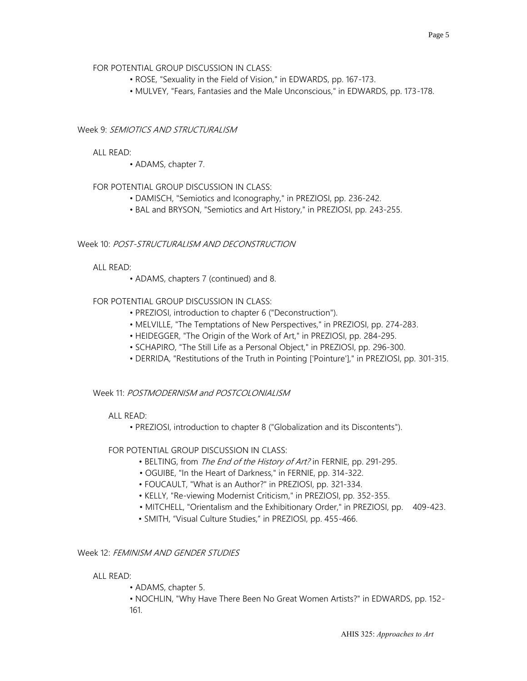### FOR POTENTIAL GROUP DISCUSSION IN CLASS:

- ROSE, "Sexuality in the Field of Vision," in EDWARDS, pp. 167-173.
- MULVEY, "Fears, Fantasies and the Male Unconscious," in EDWARDS, pp. 173-178.

# Week 9: SEMIOTICS AND STRUCTURALISM

### ALL READ:

• ADAMS, chapter 7.

# FOR POTENTIAL GROUP DISCUSSION IN CLASS:

- DAMISCH, "Semiotics and Iconography," in PREZIOSI, pp. 236-242.
- BAL and BRYSON, "Semiotics and Art History," in PREZIOSI, pp. 243-255.

### Week 10: POST-STRUCTURALISM AND DECONSTRUCTION

### ALL READ:

• ADAMS, chapters 7 (continued) and 8.

### FOR POTENTIAL GROUP DISCUSSION IN CLASS:

- PREZIOSI, introduction to chapter 6 ("Deconstruction").
- MELVILLE, "The Temptations of New Perspectives," in PREZIOSI, pp. 274-283.
- HEIDEGGER, "The Origin of the Work of Art," in PREZIOSI, pp. 284-295.
- SCHAPIRO, "The Still Life as a Personal Object," in PREZIOSI, pp. 296-300.
- DERRIDA, "Restitutions of the Truth in Pointing ['Pointure']," in PREZIOSI, pp. 301-315.

#### Week 11: POSTMODERNISM and POSTCOLONIALISM

#### ALL READ:

• PREZIOSI, introduction to chapter 8 ("Globalization and its Discontents").

#### FOR POTENTIAL GROUP DISCUSSION IN CLASS:

- BELTING, from The End of the History of Art? in FERNIE, pp. 291-295.
- OGUIBE, "In the Heart of Darkness," in FERNIE, pp. 314-322.
- FOUCAULT, "What is an Author?" in PREZIOSI, pp. 321-334.
- KELLY, "Re-viewing Modernist Criticism," in PREZIOSI, pp. 352-355.
- MITCHELL, "Orientalism and the Exhibitionary Order," in PREZIOSI, pp. 409-423.
- SMITH, "Visual Culture Studies," in PREZIOSI, pp. 455-466.

# Week 12: FEMINISM AND GENDER STUDIES

#### ALL READ:

• ADAMS, chapter 5.

• NOCHLIN, "Why Have There Been No Great Women Artists?" in EDWARDS, pp. 152- 161.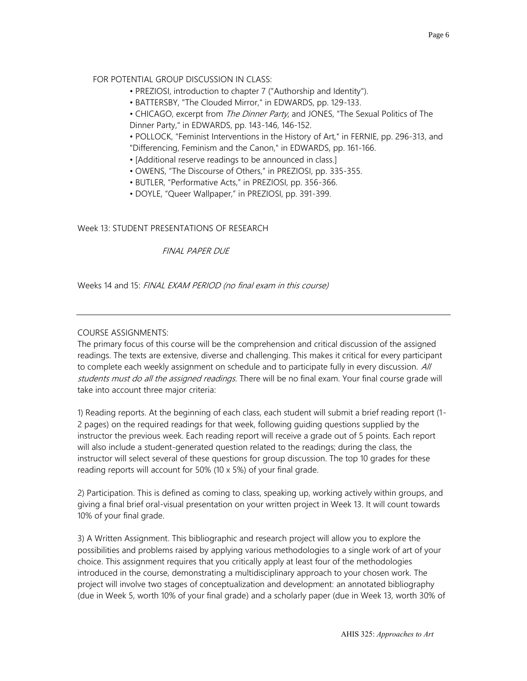# FOR POTENTIAL GROUP DISCUSSION IN CLASS:

- PREZIOSI, introduction to chapter 7 ("Authorship and Identity").
- BATTERSBY, "The Clouded Mirror," in EDWARDS, pp. 129-133.
- CHICAGO, excerpt from The Dinner Party, and JONES, "The Sexual Politics of The Dinner Party," in EDWARDS, pp. 143-146, 146-152.
- POLLOCK, "Feminist Interventions in the History of Art," in FERNIE, pp. 296-313, and "Differencing, Feminism and the Canon," in EDWARDS, pp. 161-166.
- [Additional reserve readings to be announced in class.]
- OWENS, "The Discourse of Others," in PREZIOSI, pp. 335-355.
- BUTLER, "Performative Acts," in PREZIOSI, pp. 356-366.
- DOYLE, "Queer Wallpaper," in PREZIOSI, pp. 391-399.

# Week 13: STUDENT PRESENTATIONS OF RESEARCH

# FINAL PAPER DUE

Weeks 14 and 15: FINAL EXAM PERIOD (no final exam in this course)

# COURSE ASSIGNMENTS:

The primary focus of this course will be the comprehension and critical discussion of the assigned readings. The texts are extensive, diverse and challenging. This makes it critical for every participant to complete each weekly assignment on schedule and to participate fully in every discussion. All students must do all the assigned readings. There will be no final exam. Your final course grade will take into account three major criteria:

1) Reading reports. At the beginning of each class, each student will submit a brief reading report (1- 2 pages) on the required readings for that week, following guiding questions supplied by the instructor the previous week. Each reading report will receive a grade out of 5 points. Each report will also include a student-generated question related to the readings; during the class, the instructor will select several of these questions for group discussion. The top 10 grades for these reading reports will account for 50% (10 x 5%) of your final grade.

2) Participation. This is defined as coming to class, speaking up, working actively within groups, and giving a final brief oral-visual presentation on your written project in Week 13. It will count towards 10% of your final grade.

3) A Written Assignment. This bibliographic and research project will allow you to explore the possibilities and problems raised by applying various methodologies to a single work of art of your choice. This assignment requires that you critically apply at least four of the methodologies introduced in the course, demonstrating a multidisciplinary approach to your chosen work. The project will involve two stages of conceptualization and development: an annotated bibliography (due in Week 5, worth 10% of your final grade) and a scholarly paper (due in Week 13, worth 30% of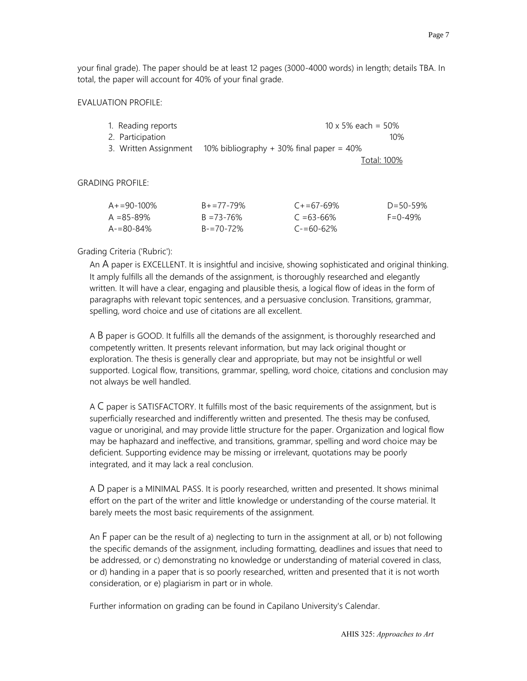your final grade). The paper should be at least 12 pages (3000-4000 words) in length; details TBA. In total, the paper will account for 40% of your final grade.

#### EVALUATION PROFILE:

| 1. Reading reports    | $10 \times 5\%$ each = 50%                 |
|-----------------------|--------------------------------------------|
| 2. Participation      | 10%                                        |
| 3. Written Assignment | 10% bibliography $+30\%$ final paper = 40% |
|                       | $T - 1 - 1.4000$                           |

Total: 100%

GRADING PROFILE:

| A+=90-100% | $B_+ = 77 - 79\%$ | $C + 57 - 69\%$ | $D = 50 - 59%$ |
|------------|-------------------|-----------------|----------------|
| A =85-89%  | $B = 73 - 76\%$   | $C = 63 - 66\%$ | $F = 0 - 49%$  |
| A-=80-84%  | $B = 70 - 72\%$   | $C = 60 - 62\%$ |                |

#### Grading Criteria ('Rubric'):

An A paper is EXCELLENT. It is insightful and incisive, showing sophisticated and original thinking. It amply fulfills all the demands of the assignment, is thoroughly researched and elegantly written. It will have a clear, engaging and plausible thesis, a logical flow of ideas in the form of paragraphs with relevant topic sentences, and a persuasive conclusion. Transitions, grammar, spelling, word choice and use of citations are all excellent.

A B paper is GOOD. It fulfills all the demands of the assignment, is thoroughly researched and competently written. It presents relevant information, but may lack original thought or exploration. The thesis is generally clear and appropriate, but may not be insightful or well supported. Logical flow, transitions, grammar, spelling, word choice, citations and conclusion may not always be well handled.

A C paper is SATISFACTORY. It fulfills most of the basic requirements of the assignment, but is superficially researched and indifferently written and presented. The thesis may be confused, vague or unoriginal, and may provide little structure for the paper. Organization and logical flow may be haphazard and ineffective, and transitions, grammar, spelling and word choice may be deficient. Supporting evidence may be missing or irrelevant, quotations may be poorly integrated, and it may lack a real conclusion.

A D paper is a MINIMAL PASS. It is poorly researched, written and presented. It shows minimal effort on the part of the writer and little knowledge or understanding of the course material. It barely meets the most basic requirements of the assignment.

An F paper can be the result of a) neglecting to turn in the assignment at all, or b) not following the specific demands of the assignment, including formatting, deadlines and issues that need to be addressed, or c) demonstrating no knowledge or understanding of material covered in class, or d) handing in a paper that is so poorly researched, written and presented that it is not worth consideration, or e) plagiarism in part or in whole.

Further information on grading can be found in Capilano University's Calendar.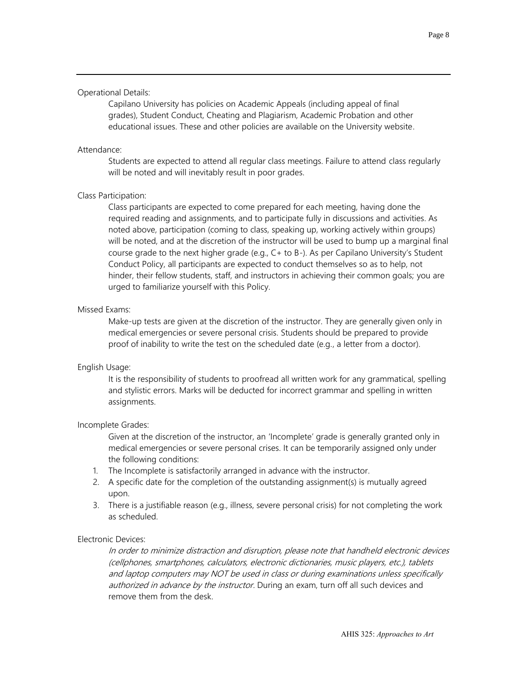#### Operational Details:

Capilano University has policies on Academic Appeals (including appeal of final grades), Student Conduct, Cheating and Plagiarism, Academic Probation and other educational issues. These and other policies are available on the University website.

#### Attendance:

Students are expected to attend all regular class meetings. Failure to attend class regularly will be noted and will inevitably result in poor grades.

#### Class Participation:

Class participants are expected to come prepared for each meeting, having done the required reading and assignments, and to participate fully in discussions and activities. As noted above, participation (coming to class, speaking up, working actively within groups) will be noted, and at the discretion of the instructor will be used to bump up a marginal final course grade to the next higher grade (e.g., C+ to B-). As per Capilano University's Student Conduct Policy, all participants are expected to conduct themselves so as to help, not hinder, their fellow students, staff, and instructors in achieving their common goals; you are urged to familiarize yourself with this Policy.

### Missed Exams:

Make-up tests are given at the discretion of the instructor. They are generally given only in medical emergencies or severe personal crisis. Students should be prepared to provide proof of inability to write the test on the scheduled date (e.g., a letter from a doctor).

#### English Usage:

It is the responsibility of students to proofread all written work for any grammatical, spelling and stylistic errors. Marks will be deducted for incorrect grammar and spelling in written assignments.

#### Incomplete Grades:

Given at the discretion of the instructor, an 'Incomplete' grade is generally granted only in medical emergencies or severe personal crises. It can be temporarily assigned only under the following conditions:

- 1. The Incomplete is satisfactorily arranged in advance with the instructor.
- 2. A specific date for the completion of the outstanding assignment(s) is mutually agreed upon.
- 3. There is a justifiable reason (e.g., illness, severe personal crisis) for not completing the work as scheduled.

#### Electronic Devices:

In order to minimize distraction and disruption, please note that handheld electronic devices (cellphones, smartphones, calculators, electronic dictionaries, music players, etc.), tablets and laptop computers may NOT be used in class or during examinations unless specifically authorized in advance by the instructor. During an exam, turn off all such devices and remove them from the desk.